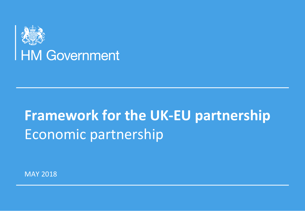

# **Framework for the UK-EU partnership** Economic partnership

**MAY 2018**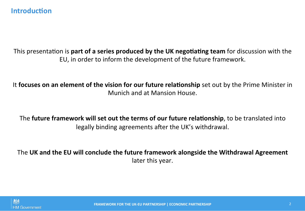# **Introduction**

This presentation is **part of a series produced by the UK negotiating team** for discussion with the EU, in order to inform the development of the future framework.

It **focuses on an element of the vision for our future relationship** set out by the Prime Minister in Munich and at Mansion House.

The **future framework will set out the terms of our future relationship**, to be translated into legally binding agreements after the UK's withdrawal.

The UK and the EU will conclude the future framework alongside the Withdrawal Agreement later this year.



**FRAMEWORK FOR THE UK-EU PARTNERSHIP | ECONOMIC PARTNERSHIP | MARINERSHIP** | MARINERSHIPOLICY – 2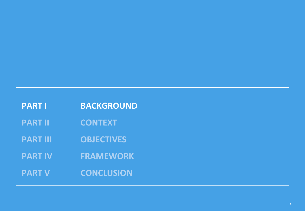| <b>PART I</b>   | <b>BACKGROUND</b> |
|-----------------|-------------------|
| <b>PART II</b>  | <b>CONTEXT</b>    |
| <b>PART III</b> | <b>OBJECTIVES</b> |
| <b>PART IV</b>  | <b>FRAMEWORK</b>  |
| <b>PART V</b>   | <b>CONCLUSION</b> |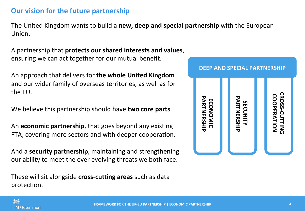# **Our vision for the future partnership**

The United Kingdom wants to build a **new, deep and special partnership** with the European Union. 

A partnership that **protects our shared interests and values**, ensuring we can act together for our mutual benefit.

An approach that delivers for **the whole United Kingdom** and our wider family of overseas territories, as well as for the EU.

We believe this partnership should have **two core parts**.

An **economic partnership**, that goes beyond any existing FTA, covering more sectors and with deeper cooperation.

And a **security partnership**, maintaining and strengthening our ability to meet the ever evolving threats we both face.

These will sit alongside **cross-cutting areas** such as data protection.



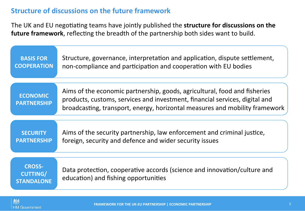# **Structure of discussions on the future framework**

The UK and EU negotiating teams have jointly published the **structure for discussions on the** future framework, reflecting the breadth of the partnership both sides want to build.

| <b>BASIS FOR</b>                                      | Structure, governance, interpretation and application, dispute settlement,                                                                                                                                                              |
|-------------------------------------------------------|-----------------------------------------------------------------------------------------------------------------------------------------------------------------------------------------------------------------------------------------|
| <b>COOPERATION</b>                                    | non-compliance and participation and cooperation with EU bodies                                                                                                                                                                         |
| <b>ECONOMIC</b><br><b>PARTNERSHIP</b>                 | Aims of the economic partnership, goods, agricultural, food and fisheries<br>products, customs, services and investment, financial services, digital and<br>broadcasting, transport, energy, horizontal measures and mobility framework |
| <b>SECURITY</b>                                       | Aims of the security partnership, law enforcement and criminal justice,                                                                                                                                                                 |
| <b>PARTNERSHIP</b>                                    | foreign, security and defence and wider security issues                                                                                                                                                                                 |
| <b>CROSS-</b><br><b>CUTTING/</b><br><b>STANDALONE</b> | Data protection, cooperative accords (science and innovation/culture and<br>education) and fishing opportunities                                                                                                                        |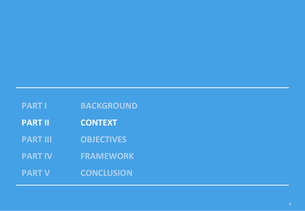| <b>PART I</b>   | <b>BACKGROUND</b> |
|-----------------|-------------------|
| <b>PART II</b>  | <b>CONTEXT</b>    |
| <b>PART III</b> | <b>OBJECTIVES</b> |
| <b>PART IV</b>  | <b>FRAMEWORK</b>  |
| <b>PART V</b>   | <b>CONCLUSION</b> |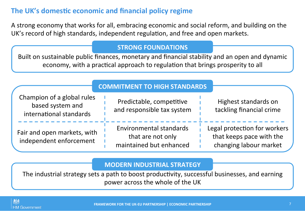# The UK's domestic economic and financial policy regime

A strong economy that works for all, embracing economic and social reform, and building on the UK's record of high standards, independent regulation, and free and open markets.

#### **STRONG FOUNDATIONS**

**Built** on sustainable public finances, monetary and financial stability and an open and dynamic economy, with a practical approach to regulation that brings prosperity to all

|                                                                           | <b>COMMITMENT TO HIGH STANDARDS</b>                                            |                                                                                    |
|---------------------------------------------------------------------------|--------------------------------------------------------------------------------|------------------------------------------------------------------------------------|
| Champion of a global rules<br>based system and<br>international standards | Predictable, competitive<br>and responsible tax system                         | Highest standards on<br>tackling financial crime                                   |
| Fair and open markets, with<br>independent enforcement                    | <b>Environmental standards</b><br>that are not only<br>maintained but enhanced | Legal protection for workers<br>that keeps pace with the<br>changing labour market |

### **MODERN INDUSTRIAL STRATEGY**

The industrial strategy sets a path to boost productivity, successful businesses, and earning power across the whole of the UK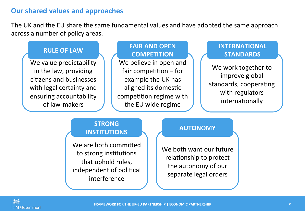# **Our shared values and approaches**

The UK and the EU share the same fundamental values and have adopted the same approach across a number of policy areas.

We value predictability in the law, providing citizens and businesses with legal certainty and ensuring accountability of law-makers

#### RULE OF LAW **INTERNATIONAL FAIR AND OPEN COMPETITION**

We believe in open and fair competition  $-$  for example the UK has aligned its domestic competition regime with the EU wide regime

# **STANDARDS**

We work together to improve global standards, cooperating with regulators internationally

# **STRONG INSTITUTIONS**

We are both committed to strong institutions that uphold rules, independent of political interference 

#### **AUTONOMY**

We both want our future relationship to protect the autonomy of our separate legal orders

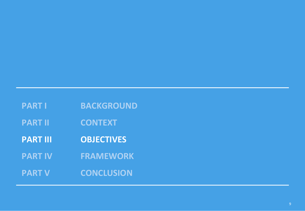| <b>PART I</b>   | <b>BACKGROUND</b> |
|-----------------|-------------------|
| <b>PART II</b>  | <b>CONTEXT</b>    |
| <b>PART III</b> | <b>OBJECTIVES</b> |
| <b>PART IV</b>  | <b>FRAMEWORK</b>  |
| <b>PART V</b>   | <b>CONCLUSION</b> |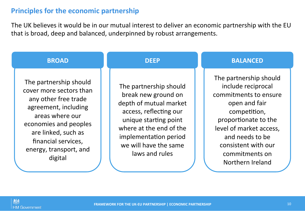# **Principles for the economic partnership**

The UK believes it would be in our mutual interest to deliver an economic partnership with the EU that is broad, deep and balanced, underpinned by robust arrangements.

| <b>BROAD</b>                                                                                                                                                                                                                     | <b>DEEP</b>                                                                                                                                                                                                               | <b>BALANCED</b>                                                                                                                                                                                                                           |
|----------------------------------------------------------------------------------------------------------------------------------------------------------------------------------------------------------------------------------|---------------------------------------------------------------------------------------------------------------------------------------------------------------------------------------------------------------------------|-------------------------------------------------------------------------------------------------------------------------------------------------------------------------------------------------------------------------------------------|
| The partnership should<br>cover more sectors than<br>any other free trade<br>agreement, including<br>areas where our<br>economies and peoples<br>are linked, such as<br>financial services,<br>energy, transport, and<br>digital | The partnership should<br>break new ground on<br>depth of mutual market<br>access, reflecting our<br>unique starting point<br>where at the end of the<br>implementation period<br>we will have the same<br>laws and rules | The partnership should<br>include reciprocal<br>commitments to ensure<br>open and fair<br>competition,<br>proportionate to the<br>level of market access,<br>and needs to be<br>consistent with our<br>commitments on<br>Northern Ireland |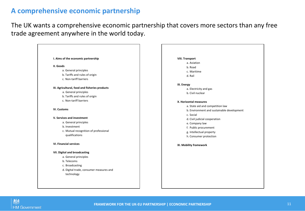# **A comprehensive economic partnership**

The UK wants a comprehensive economic partnership that covers more sectors than any free trade agreement anywhere in the world today.

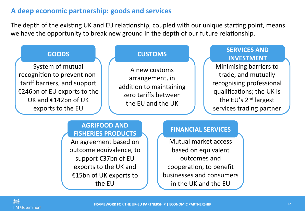# A deep economic partnership: goods and services

The depth of the existing UK and EU relationship, coupled with our unique starting point, means we have the opportunity to break new ground in the depth of our future relationship.



### **AGRIFOOD AND FISHERIES PRODUCTS**

An agreement based on outcome equivalence, to support €37bn of EU exports to the UK and €15bn of UK exports to the EU

#### **FINANCIAL SERVICES**

Mutual market access based on equivalent outcomes and cooperation, to benefit businesses and consumers in the UK and the EU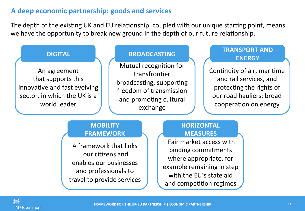# A deep economic partnership: goods and services

The depth of the existing UK and EU relationship, coupled with our unique starting point, means we have the opportunity to break new ground in the depth of our future relationship.



# **MOBILITY FRAMEWORK**

A framework that links our citizens and enables our businesses and professionals to travel to provide services

# **HORIZONTAL MEASURES**

Fair market access with binding commitments where appropriate, for example remaining in step with the EU's state aid and competition regimes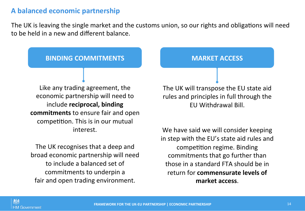# **A balanced economic partnership**

The UK is leaving the single market and the customs union, so our rights and obligations will need to be held in a new and different balance.

### **BINDING COMMITMENTS AND MARKET ACCESS**

Like any trading agreement, the economic partnership will need to include **reciprocal, binding commitments** to ensure fair and open competition. This is in our mutual interest. 

The UK recognises that a deep and broad economic partnership will need to include a balanced set of commitments to underpin a fair and open trading environment.

The UK will transpose the EU state aid rules and principles in full through the EU Withdrawal Bill. 

We have said we will consider keeping in step with the EU's state aid rules and competition regime. Binding commitments that go further than those in a standard FTA should be in return for **commensurate levels of** market access.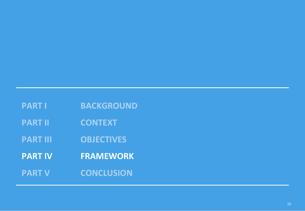| <b>PART I</b>   | <b>BACKGROUND</b> |
|-----------------|-------------------|
| <b>PART II</b>  | <b>CONTEXT</b>    |
| <b>PART III</b> | <b>OBJECTIVES</b> |
| <b>PART IV</b>  | <b>FRAMEWORK</b>  |
| <b>PART V</b>   | <b>CONCLUSION</b> |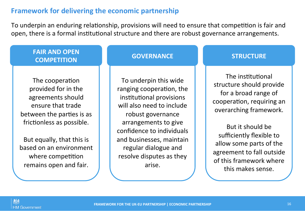# **Framework for delivering the economic partnership**

To underpin an enduring relationship, provisions will need to ensure that competition is fair and open, there is a formal institutional structure and there are robust governance arrangements.

# **FAIR AND OPEN COMPETITION**

The cooperation provided for in the agreements should ensure that trade between the parties is as frictionless as possible.

But equally, that this is based on an environment where competition remains open and fair.

#### **GOVERNANCE**

To underpin this wide ranging cooperation, the institutional provisions will also need to include robust governance arrangements to give confidence to individuals and businesses, maintain regular dialogue and resolve disputes as they arise. 

# **STRUCTURE**

The institutional structure should provide for a broad range of cooperation, requiring an overarching framework.

But it should be sufficiently flexible to allow some parts of the agreement to fall outside of this framework where this makes sense.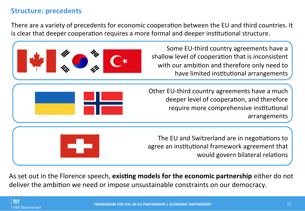# **Structure: precedents**

There are a variety of precedents for economic cooperation between the EU and third countries. It is clear that deeper cooperation requires a more formal and deeper institutional structure.



As set out in the Florence speech, existing models for the economic partnership either do not deliver the ambition we need or impose unsustainable constraints on our democracy.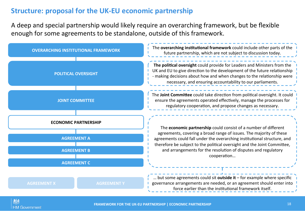# **Structure: proposal for the UK-EU economic partnership**

A deep and special partnership would likely require an overarching framework, but be flexible enough for some agreements to be standalone, outside of this framework.

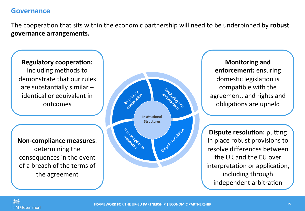# **Governance**

The cooperation that sits within the economic partnership will need to be underpinned by robust **governance arrangements.** 

**Regulatory cooperation:** including methods to demonstrate that our rules are substantially similar  $$ identical or equivalent in outcomes

**Non-compliance measures**: determining the consequences in the event of a breach of the terms of the agreement



**Monitoring and enforcement:** ensuring domestic legislation is compatible with the agreement, and rights and obligations are upheld

**Dispute resolution:** putting in place robust provisions to resolve differences between the UK and the EU over interpretation or application, including through independent arbitration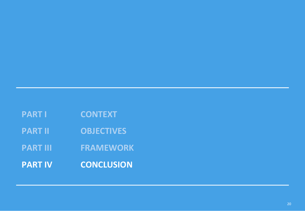| <b>PART I</b> | <b>CONTEXT</b> |
|---------------|----------------|
|               |                |

**PART II OBJECTIVES** 

**PART III FRAMEWORK** 

**PART IV CONCLUSION**